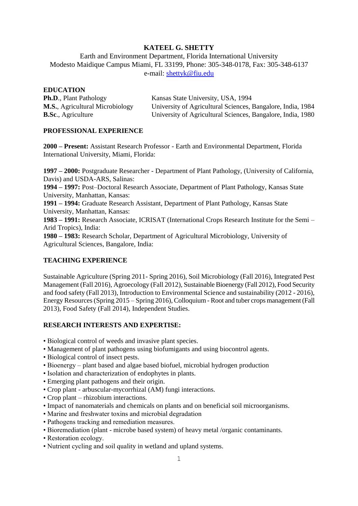# **KATEEL G. SHETTY**

Earth and Environment Department, Florida International University Modesto Maidique Campus Miami, FL 33199, Phone: 305-348-0178, Fax: 305-348-6137 e-mail: [shettyk@fiu.edu](mailto:shettyk@fiu.edu)

### **EDUCATION**

| <b>Ph.D., Plant Pathology</b>          | Kansas State University, USA, 1994                          |
|----------------------------------------|-------------------------------------------------------------|
| <b>M.S., Agricultural Microbiology</b> | University of Agricultural Sciences, Bangalore, India, 1984 |
| <b>B.Sc.</b> , Agriculture             | University of Agricultural Sciences, Bangalore, India, 1980 |

# **PROFESSIONAL EXPERIENCE**

**2000 – Present:** Assistant Research Professor - Earth and Environmental Department, Florida International University, Miami, Florida:

**1997 – 2000:** Postgraduate Researcher - Department of Plant Pathology, (University of California, Davis) and USDA-ARS, Salinas:

**1994 – 1997:** Post–Doctoral Research Associate, Department of Plant Pathology, Kansas State University, Manhattan, Kansas:

**1991 – 1994:** Graduate Research Assistant, Department of Plant Pathology, Kansas State University, Manhattan, Kansas:

**1983 – 1991:** Research Associate, ICRISAT (International Crops Research Institute for the Semi – Arid Tropics), India:

**1980 – 1983:** Research Scholar, Department of Agricultural Microbiology, University of Agricultural Sciences, Bangalore, India:

# **TEACHING EXPERIENCE**

Sustainable Agriculture (Spring 2011- Spring 2016), Soil Microbiology (Fall 2016), Integrated Pest Management (Fall 2016), Agroecology (Fall 2012), Sustainable Bioenergy (Fall 2012), Food Security and food safety (Fall 2013), Introduction to Environmental Science and sustainability (2012 - 2016), Energy Resources (Spring 2015 – Spring 2016), Colloquium - Root and tuber crops management (Fall 2013), Food Safety (Fall 2014), Independent Studies.

# **RESEARCH INTERESTS AND EXPERTISE:**

- Biological control of weeds and invasive plant species.
- Management of plant pathogens using biofumigants and using biocontrol agents.
- Biological control of insect pests.
- Bioenergy plant based and algae based biofuel, microbial hydrogen production
- Isolation and characterization of endophytes in plants.
- Emerging plant pathogens and their origin.
- Crop plant arbuscular-mycorrhizal (AM) fungi interactions.
- Crop plant rhizobium interactions.
- Impact of nanomaterials and chemicals on plants and on beneficial soil microorganisms.
- Marine and freshwater toxins and microbial degradation
- Pathogens tracking and remediation measures.
- Bioremediation (plant microbe based system) of heavy metal /organic contaminants.
- Restoration ecology.
- Nutrient cycling and soil quality in wetland and upland systems.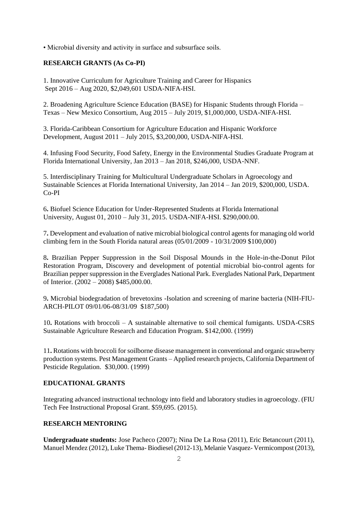• Microbial diversity and activity in surface and subsurface soils.

# **RESEARCH GRANTS (As Co-PI)**

1. Innovative Curriculum for Agriculture Training and Career for Hispanics Sept 2016 – Aug 2020, \$2,049,601 USDA-NIFA-HSI.

2. Broadening Agriculture Science Education (BASE) for Hispanic Students through Florida – Texas – New Mexico Consortium, Aug 2015 – July 2019, \$1,000,000, USDA-NIFA-HSI.

3. Florida-Caribbean Consortium for Agriculture Education and Hispanic Workforce Development, August 2011 – July 2015, \$3,200,000, USDA-NIFA-HSI.

4. Infusing Food Security, Food Safety, Energy in the Environmental Studies Graduate Program at Florida International University, Jan 2013 – Jan 2018, \$246,000, USDA-NNF.

5. Interdisciplinary Training for Multicultural Undergraduate Scholars in Agroecology and Sustainable Sciences at Florida International University, Jan 2014 – Jan 2019, \$200,000, USDA. Co-PI

6**.** Biofuel Science Education for Under-Represented Students at Florida International University, August 01, 2010 – July 31, 2015. USDA-NIFA-HSI. \$290,000.00.

7**.** Development and evaluation of native microbial biological control agents for managing old world climbing fern in the South Florida natural areas  $(05/01/2009 - 10/31/2009 - 100.000)$ 

8**.** Brazilian Pepper Suppression in the Soil Disposal Mounds in the Hole-in-the-Donut Pilot Restoration Program, Discovery and development of potential microbial bio-control agents for Brazilian pepper suppression in the Everglades National Park. Everglades National Park, Department of Interior. (2002 – 2008) \$485,000.00.

9**.** Microbial biodegradation of brevetoxins -Isolation and screening of marine bacteria (NIH-FIU-ARCH-PILOT 09/01/06-08/31/09 \$187,500)

10**.** Rotations with broccoli – A sustainable alternative to soil chemical fumigants. USDA-CSRS Sustainable Agriculture Research and Education Program. \$142,000. (1999)

11**.** Rotations with broccoli for soilborne disease management in conventional and organic strawberry production systems. Pest Management Grants – Applied research projects, California Department of Pesticide Regulation. \$30,000. (1999)

### **EDUCATIONAL GRANTS**

Integrating advanced instructional technology into field and laboratory studies in agroecology. (FIU Tech Fee Instructional Proposal Grant. \$59,695. (2015).

### **RESEARCH MENTORING**

**Undergraduate students:** Jose Pacheco (2007); Nina De La Rosa (2011), Eric Betancourt (2011), Manuel Mendez (2012), Luke Thema- Biodiesel (2012-13), Melanie Vasquez- Vermicompost (2013),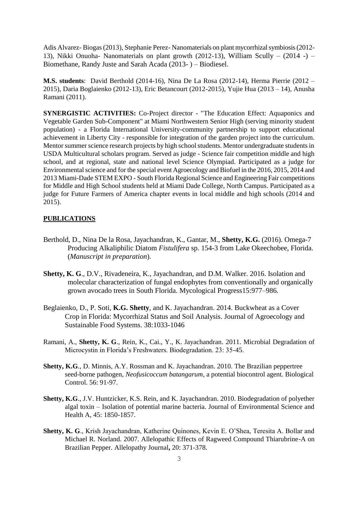Adis Alvarez- Biogas (2013), Stephanie Perez- Nanomaterials on plant mycorrhizal symbiosis (2012- 13), Nikki Onuoha- Nanomaterials on plant growth (2012-13), William Scully – (2014 -) – Biomethane, Randy Juste and Sarah Acada (2013- ) – Biodiesel.

**M.S. students**: David Berthold (2014-16), Nina De La Rosa (2012-14), Herma Pierrie (2012 – 2015), Daria Boglaienko (2012-13), Eric Betancourt (2012-2015), Yujie Hua (2013 – 14), Anusha Ramani (2011).

**SYNERGISTIC ACTIVITIES:** Co-Project director - "The Education Effect: Aquaponics and Vegetable Garden Sub-Component" at Miami Northwestern Senior High (serving minority student population) - a Florida International University-community partnership to support educational achievement in Liberty City - responsible for integration of the garden project into the curriculum. Mentor summer science research projects by high school students. Mentor undergraduate students in USDA Multicultural scholars program. Served as judge - Science fair competition middle and high school, and at regional, state and national level Science Olympiad. Participated as a judge for Environmental science and for the special event Agroecology and Biofuel in the 2016, 2015, 2014 and 2013 Miami-Dade STEM EXPO - South Florida Regional Science and Engineering Fair competitions for Middle and High School students held at Miami Dade College, North Campus. Participated as a judge for Future Farmers of America chapter events in local middle and high schools (2014 and 2015).

### **PUBLICATIONS**

- Berthold, D., Nina De la Rosa, Jayachandran, K., Gantar, M., **Shetty, K.G.** (2016). Omega-7 Producing Alkaliphilic Diatom *Fistulifera* sp. 154-3 from Lake Okeechobee, Florida. (*Manuscript in preparation*).
- **Shetty, K. G**., D.V., Rivadeneira, K., Jayachandran, and D.M. Walker. 2016. Isolation and molecular characterization of fungal endophytes from conventionally and organically grown avocado trees in South Florida. Mycological Progress15:977–986.
- Beglaienko, D., P. Soti, **K.G. Shetty**, and K. Jayachandran. 2014. Buckwheat as a Cover Crop in Florida: Mycorrhizal Status and Soil Analysis. Journal of Agroecology and Sustainable Food Systems. 38:1033-1046
- Ramani, A., **Shetty, K. G**., Rein, K., Cai., Y., K. Jayachandran. 2011. Microbial Degradation of Microcystin in Florida's Freshwaters. Biodegradation. 23: 35-45.
- **Shetty, K.G**., D. Minnis, A.Y. Rossman and K. Jayachandran. 2010. The Brazilian peppertree seed-borne pathogen, *Neofusicoccum batangarum*, a potential biocontrol agent. Biological Control. 56: 91-97.
- **Shetty, K.G**., J.V. Huntzicker, K.S. Rein, and K. Jayachandran. 2010. Biodegradation of polyether algal toxin – Isolation of potential marine bacteria. Journal of Environmental Science and Health A, 45: 1850-1857.
- **Shetty, K. G**., Krish Jayachandran, Katherine Quinones, Kevin E. O'Shea, Teresita A. Bollar and Michael R. Norland. 2007. Allelopathic Effects of Ragweed Compound Thiarubrine-A on Brazilian Pepper. Allelopathy Journal**,** 20: 371-378.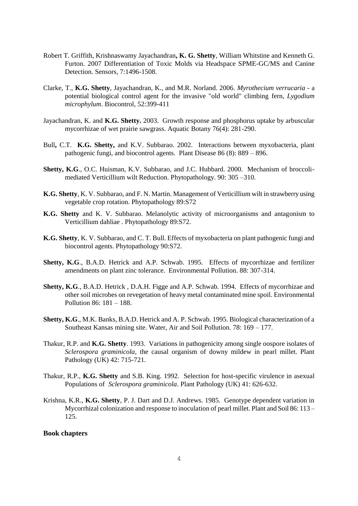- Robert T. Griffith, Krishnaswamy Jayachandran**, K. G. Shetty**, William Whitstine and Kenneth G. Furton. 2007 Differentiation of Toxic Molds via Headspace SPME-GC/MS and Canine Detection. Sensors, 7:1496-1508.
- Clarke, T., **K.G. Shetty**, Jayachandran, K., and M.R. Norland. 2006. *Myrothecium verrucaria* a potential biological control agent for the invasive "old world" climbing fern, *Lygodium microphylum*. Biocontrol, 52:399-411
- Jayachandran, K. and **K.G. Shetty.** 2003. Growth response and phosphorus uptake by arbuscular mycorrhizae of wet prairie sawgrass. Aquatic Botany 76(4): 281-290.
- Bull**,** C.T. **K.G. Shetty,** and K.V. Subbarao. 2002. Interactions between myxobacteria, plant pathogenic fungi, and biocontrol agents. Plant Disease 86 (8): 889 – 896.
- **Shetty, K.G**., O.C. Huisman, K.V. Subbarao, and J.C. Hubbard. 2000. Mechanism of broccolimediated Verticillium wilt Reduction. Phytopathology. 90: 305 –310.
- **K.G. Shetty**, K. V. Subbarao, and F. N. Martin. Management of Verticillium wilt in strawberry using vegetable crop rotation. Phytopathology 89:S72
- **K.G. Shetty** and K. V. Subbarao. Melanolytic activity of microorganisms and antagonism to Verticillium dahliae . Phytopathology 89:S72.
- **K.G. Shetty**, K. V. Subbarao, and C. T. Bull. Effects of myxobacteria on plant pathogenic fungi and biocontrol agents. Phytopathology 90:S72.
- **Shetty, K.G**., B.A.D. Hetrick and A.P. Schwab. 1995. Effects of mycorrhizae and fertilizer amendments on plant zinc tolerance. Environmental Pollution. 88: 307-314.
- **Shetty, K.G**., B.A.D. Hetrick , D.A.H. Figge and A.P. Schwab. 1994. Effects of mycorrhizae and other soil microbes on revegetation of heavy metal contaminated mine spoil. Environmental Pollution 86: 181 – 188.
- **Shetty, K.G**., M.K. Banks, B.A.D. Hetrick and A. P. Schwab. 1995. Biological characterization of a Southeast Kansas mining site. Water, Air and Soil Pollution. 78: 169 – 177.
- Thakur, R.P. and **K.G. Shetty**. 1993. Variations in pathogenicity among single oospore isolates of *Sclerospora graminicola*, the causal organism of downy mildew in pearl millet. Plant Pathology (UK) 42: 715-721.
- Thakur, R.P., **K.G. Shetty** and S.B. King. 1992. Selection for host-specific virulence in asexual Populations of *Sclerospora graminicola*. Plant Pathology (UK) 41: 626-632.
- Krishna, K.R., **K.G. Shetty**, P. J. Dart and D.J. Andrews. 1985. Genotype dependent variation in Mycorrhizal colonization and response to inoculation of pearl millet. Plant and Soil 86: 113 – 125.

#### **Book chapters**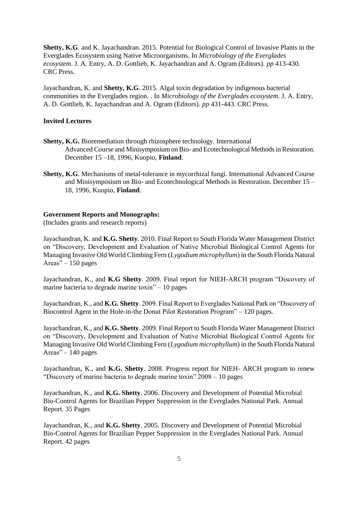**Shetty, K.G**. and K. Jayachandran. 2015. Potential for Biological Control of Invasive Plants in the Everglades Ecosystem using Native Microorganisms. In *Microbiology of the Everglades ecosystem*. J. A. Entry, A. D. Gottlieb, K. Jayachandran and A. Ogram (Editors). *pp* 413-430. CRC Press.

Jayachandran, K. and **Shetty, K.G**. 2015. Algal toxin degradation by indigenous bacterial communities in the Everglades region. . In *Microbiology of the Everglades ecosystem*. J. A. Entry, A. D. Gottlieb, K. Jayachandran and A. Ogram (Editors). *pp* 431-443. CRC Press.

### **Invited Lectures**

- **Shetty, K.G.** Bioremediation through rhizosphere technology. International Advanced Course and Minisymposium on Bio- and Ecotechnological Methods in Restoration. December 15 –18, 1996, Kuopio, **Finland**.
- **Shetty, K.G**. Mechanisms of metal-tolerance in mycorrhizal fungi. International Advanced Course and Minisymposium on Bio- and Ecotechnological Methods in Restoration. December 15 – 18, 1996, Kuopio, **Finland**.

#### **Government Reports and Monographs:**

(Includes grants and research reports)

Jayachandran, K. and **K.G. Shetty**. 2010. Final Report to South Florida Water Management District on "Discovery, Development and Evaluation of Native Microbial Biological Control Agents for Managing Invasive Old World Climbing Fern (*Lygodium microphyllum*) in the South Florida Natural Areas" – 150 pages

Jayachandran, K., and **K.G Shetty**. 2009. Final report for NIEH-ARCH program "Discovery of marine bacteria to degrade marine toxin" $-10$  pages

Jayachandran, K., and **K.G. Shetty**. 2009. Final Report to Everglades National Park on "Discovery of Biocontrol Agent in the Hole-in-the Donut Pilot Restoration Program" – 120 pages.

Jayachandran, K., and **K.G. Shetty**. 2009. Final Report to South Florida Water Management District on "Discovery, Development and Evaluation of Native Microbial Biological Control Agents for Managing Invasive Old World Climbing Fern (*Lygodium microphyllum*) in the South Florida Natural Areas" $-140$  pages

Jayachandran, K., and **K.G. Shetty**. 2008. Progress report for NIEH- ARCH program to renew "Discovery of marine bacteria to degrade marine toxin"  $2008 - 10$  pages

Jayachandran, K., and **K.G. Shetty**. 2006. Discovery and Development of Potential Microbial Bio-Control Agents for Brazilian Pepper Suppression in the Everglades National Park. Annual Report. 35 Pages

Jayachandran, K., and **K.G. Shetty**. 2005. Discovery and Development of Potential Microbial Bio-Control Agents for Brazilian Pepper Suppression in the Everglades National Park. Annual Report. 42 pages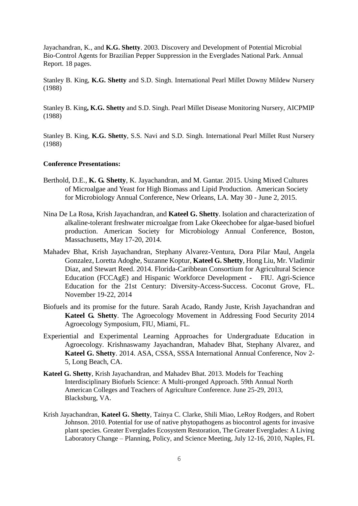Jayachandran, K., and **K.G. Shetty**. 2003. Discovery and Development of Potential Microbial Bio-Control Agents for Brazilian Pepper Suppression in the Everglades National Park. Annual Report. 18 pages.

Stanley B. King, **K.G. Shetty** and S.D. Singh. International Pearl Millet Downy Mildew Nursery (1988)

Stanley B. King**, K.G. Shetty** and S.D. Singh. Pearl Millet Disease Monitoring Nursery, AICPMIP (1988)

Stanley B. King, **K.G. Shetty**, S.S. Navi and S.D. Singh. International Pearl Millet Rust Nursery (1988)

#### **Conference Presentations:**

- Berthold, D.E., **K. G. Shetty**, K. Jayachandran, and M. Gantar. 2015. Using Mixed Cultures of Microalgae and Yeast for High Biomass and Lipid Production. American Society for Microbiology Annual Conference, New Orleans, LA. May 30 - June 2, 2015.
- Nina De La Rosa, Krish Jayachandran, and **Kateel G. Shetty**. Isolation and characterization of alkaline-tolerant freshwater microalgae from Lake Okeechobee for algae-based biofuel production. American Society for Microbiology Annual Conference, Boston, Massachusetts, May 17-20, 2014.
- Mahadev Bhat, Krish Jayachandran, Stephany Alvarez-Ventura, Dora Pilar Maul, Angela Gonzalez, Loretta Adoghe, Suzanne Koptur, **Kateel G. Shetty**, Hong Liu, Mr. Vladimir Diaz, and Stewart Reed. 2014. Florida-Caribbean Consortium for Agricultural Science Education (FCCAgE) and Hispanic Workforce Development **-** FIU. Agri-Science Education for the 21st Century: Diversity-Access-Success. Coconut Grove, FL. November 19-22, 2014
- Biofuels and its promise for the future. Sarah Acado, Randy Juste, Krish Jayachandran and **Kateel G. Shetty**. The Agroecology Movement in Addressing Food Security 2014 Agroecology Symposium, FIU, Miami, FL.
- Experiential and Experimental Learning Approaches for Undergraduate Education in Agroecology. Krishnaswamy Jayachandran, Mahadev Bhat, Stephany Alvarez, and **Kateel G. Shetty**. 2014. ASA, CSSA, SSSA International Annual Conference, Nov 2- 5, Long Beach, CA.
- **Kateel G. Shetty**, Krish Jayachandran, and Mahadev Bhat. 2013. Models for Teaching Interdisciplinary Biofuels Science: A Multi-pronged Approach. 59th Annual North American Colleges and Teachers of Agriculture Conference. June 25-29, 2013, Blacksburg, VA.
- Krish Jayachandran, **Kateel G. Shetty**, Tainya C. Clarke, Shili Miao, LeRoy Rodgers, and Robert Johnson. 2010. Potential for use of native phytopathogens as biocontrol agents for invasive plant species. Greater Everglades Ecosystem Restoration, The Greater Everglades: A Living Laboratory Change – Planning, Policy, and Science Meeting, July 12-16, 2010, Naples, FL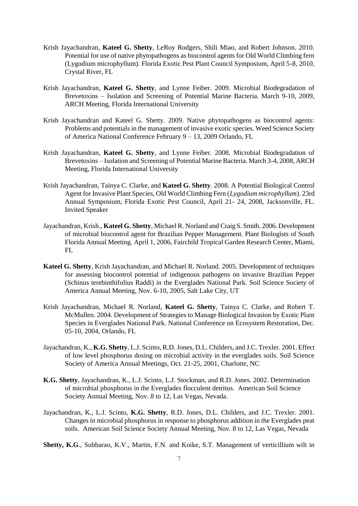- Krish Jayachandran, **Kateel G. Shetty**, LeRoy Rodgers, Shili Miao, and Robert Johnson. 2010. Potential for use of native phytopathogens as biocontrol agents for Old World Climbing fern (Lygodium microphyllum). Florida Exotic Pest Plant Council Symposium, April 5-8, 2010, Crystal River, FL
- Krish Jayachandran, **Kateel G. Shetty**, and Lynne Feiber. 2009. Microbial Biodegradation of Brevetoxins – Isolation and Screening of Potential Marine Bacteria. March 9-10, 2009, ARCH Meeting, Florida International University
- Krish Jayachandran and Kateel G. Shetty. 2009. Native phytopathogens as biocontrol agents: Problems and potentials in the management of invasive exotic species. Weed Science Society of America National Conference February 9 – 13, 2009 Orlando, FL
- Krish Jayachandran, **Kateel G. Shetty**, and Lynne Feiber. 2008. Microbial Biodegradation of Brevetoxins – Isolation and Screening of Potential Marine Bacteria. March 3-4, 2008, ARCH Meeting, Florida International University
- Krish Jayachandran, Tainya C. Clarke, and **Kateel G. Shetty**. 2008. A Potential Biological Control Agent for Invasive Plant Species, Old World Climbing Fern (*Lygodium microphyllum*). 23rd Annual Symposium, Florida Exotic Pest Council, April 21- 24, 2008, Jacksonville, FL. Invited Speaker
- Jayachandran, Krish., **Kateel G. Shetty**, Michael R. Norland and Craig S. Smith. 2006. Development of microbial biocontrol agent for Brazilian Pepper Management. Plant Biologists of South Florida Annual Meeting. April 1, 2006, Fairchild Tropical Garden Research Center, Miami,  $FI.$
- **Kateel G. Shetty**, Krish Jayachandran, and Michael R. Norland. 2005. Development of techniques for assessing biocontrol potential of indigenous pathogens on invasive Brazilian Pepper (Schinus terebinthifolius Raddi) in the Everglades National Park. Soil Science Society of America Annual Meeting, Nov. 6-10, 2005, Salt Lake City, UT
- Krish Jayachandran, Michael R. Norland, **Kateel G. Shetty**, Tainya C. Clarke, and Robert T. McMullen. 2004. Development of Strategies to Manage Biological Invasion by Exotic Plant Species in Everglades National Park. National Conference on Ecosystem Restoration, Dec. 05-10, 2004, Orlando, FL
- Jayachandran, K., **K.G. Shetty**, L.J. Scinto, R.D. Jones, D.L. Childers, and J.C. Trexler. 2001. Effect of low level phosphorus dosing on microbial activity in the everglades soils. Soil Science Society of America Annual Meetings, Oct. 21-25, 2001, Charlotte, NC
- **K.G. Shetty**, Jayachandran, K., L.J. Scinto, L.J. Stockman, and R.D. Jones. 2002. Determination of microbial phosphorus in the Everglades flocculent detritus. American Soil Science Society Annual Meeting, Nov. 8 to 12, Las Vegas, Nevada.
- Jayachandran, K., L.J. Scinto, **K.G. Shetty**, R.D. Jones, D.L. Childers, and J.C. Trexler. 2001. Changes in microbial phosphorus in response to phosphorus addition in the Everglades peat soils. American Soil Science Society Annual Meeting, Nov. 8 to 12, Las Vegas, Nevada
- **Shetty, K.G**., Subbarao, K.V., Martin, F.N. and Koike, S.T. Management of verticillium wilt in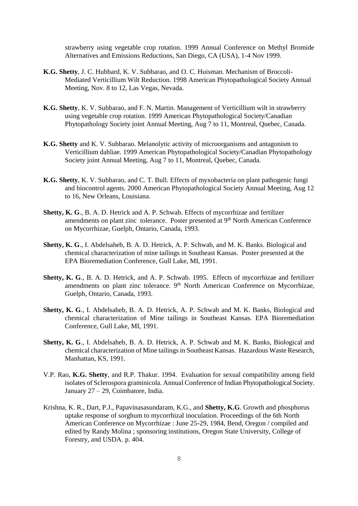strawberry using vegetable crop rotation. 1999 Annual Conference on Methyl Bromide Alternatives and Emissions Reductions, San Diego, CA (USA), 1-4 Nov 1999.

- **K.G. Shetty**, J. C. Hubbard, K. V. Subbarao, and O. C. Huisman. Mechanism of Broccoli-Mediated Verticillium Wilt Reduction. 1998 American Phytopathological Society Annual Meeting, Nov. 8 to 12, Las Vegas, Nevada.
- **K.G. Shetty**, K. V. Subbarao, and F. N. Martin. Management of Verticillium wilt in strawberry using vegetable crop rotation. 1999 American Phytopathological Society/Canadian Phytopathology Society joint Annual Meeting, Aug 7 to 11, Montreal, Quebec, Canada.
- **K.G. Shetty** and K. V. Subbarao. Melanolytic activity of microorganisms and antagonism to Verticillium dahliae. 1999 American Phytopathological Society/Canadian Phytopathology Society joint Annual Meeting, Aug 7 to 11, Montreal, Quebec, Canada.
- **K.G. Shetty**, K. V. Subbarao, and C. T. Bull. Effects of myxobacteria on plant pathogenic fungi and biocontrol agents. 2000 American Phytopathological Society Annual Meeting, Aug 12 to 16, New Orleans, Louisiana.
- **Shetty, K. G**., B. A. D. Hetrick and A. P. Schwab. Effects of mycorrhizae and fertilizer amendments on plant zinc tolerance. Poster presented at 9<sup>th</sup> North American Conference on Mycorrhizae, Guelph, Ontario, Canada, 1993.
- **Shetty, K. G**., I. Abdelsaheb, B. A. D. Hetrick, A. P. Schwab, and M. K. Banks. Biological and chemical characterization of mine tailings in Southeast Kansas. Poster presented at the EPA Bioremediation Conference, Gull Lake, MI, 1991.
- **Shetty, K. G**., B. A. D. Hetrick, and A. P. Schwab. 1995. Effects of mycorrhizae and fertilizer amendments on plant zinc tolerance. 9<sup>th</sup> North American Conference on Mycorrhizae, Guelph, Ontario, Canada, 1993.
- **Shetty, K. G**., I. Abdelsaheb, B. A. D. Hetrick, A. P. Schwab and M. K. Banks, Biological and chemical characterization of Mine tailings in Southeast Kansas. EPA Bioremediation Conference, Gull Lake, MI, 1991.
- **Shetty, K. G**., I. Abdelsaheb, B. A. D. Hetrick, A. P. Schwab and M. K. Banks, Biological and chemical characterization of Mine tailings in Southeast Kansas. Hazardous Waste Research, Manhattan, KS, 1991.
- V.P. Rao, **K.G. Shetty**, and R.P. Thakur. 1994. Evaluation for sexual compatibility among field isolates of Sclerospora graminicola. Annual Conference of Indian Phytopathological Society. January 27 – 29, Coimbatore, India.
- Krishna, K. R., Dart, P.J., Papavinasasundaram, K.G., and **Shetty, K.G**. Growth and phosphorus uptake response of sorghum to mycorrhizal inoculation. Proceedings of the 6th North American Conference on Mycorrhizae : June 25-29, 1984, Bend, Oregon / compiled and edited by Randy Molina ; sponsoring institutions, Oregon State University, College of Forestry, and USDA. p. 404.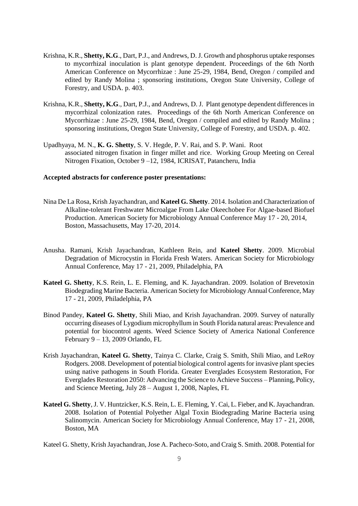- Krishna, K.R., **Shetty, K.G**., Dart, P.J., and Andrews, D. J. Growth and phosphorus uptake responses to mycorrhizal inoculation is plant genotype dependent. Proceedings of the 6th North American Conference on Mycorrhizae : June 25-29, 1984, Bend, Oregon / compiled and edited by Randy Molina ; sponsoring institutions, Oregon State University, College of Forestry, and USDA. p. 403.
- Krishna, K.R., **Shetty, K.G**., Dart, P.J., and Andrews, D. J. Plant genotype dependent differences in mycorrhizal colonization rates. Proceedings of the 6th North American Conference on Mycorrhizae : June 25-29, 1984, Bend, Oregon / compiled and edited by Randy Molina ; sponsoring institutions, Oregon State University, College of Forestry, and USDA. p. 402.
- Upadhyaya, M. N., **K. G. Shetty**, S. V. Hegde, P. V. Rai, and S. P. Wani. Root associated nitrogen fixation in finger millet and rice. Working Group Meeting on Cereal Nitrogen Fixation, October 9 –12, 1984, ICRISAT, Patancheru, India

#### **Accepted abstracts for conference poster presentations:**

- Nina De La Rosa, Krish Jayachandran, and **Kateel G. Shetty**. 2014. Isolation and Characterization of Alkaline-tolerant Freshwater Microalgae From Lake Okeechobee For Algae-based Biofuel Production. American Society for Microbiology Annual Conference May 17 - 20, 2014, Boston, Massachusetts, May 17-20, 2014.
- Anusha. Ramani, Krish Jayachandran, Kathleen Rein, and **Kateel Shetty**. 2009. Microbial Degradation of Microcystin in Florida Fresh Waters. American Society for Microbiology Annual Conference, May 17 - 21, 2009, Philadelphia, PA
- **Kateel G. Shetty**, K.S. Rein, L. E. Fleming, and K. Jayachandran. 2009. Isolation of Brevetoxin Biodegrading Marine Bacteria. American Society for Microbiology Annual Conference, May 17 - 21, 2009, Philadelphia, PA
- Binod Pandey, **Kateel G. Shetty**, Shili Miao, and Krish Jayachandran. 2009. Survey of naturally occurring diseases of Lygodium microphyllum in South Florida natural areas: Prevalence and potential for biocontrol agents. Weed Science Society of America National Conference February 9 – 13, 2009 Orlando, FL
- Krish Jayachandran, **Kateel G. Shetty**, Tainya C. Clarke, Craig S. Smith, Shili Miao, and LeRoy Rodgers. 2008. Development of potential biological control agents for invasive plant species using native pathogens in South Florida. Greater Everglades Ecosystem Restoration, For Everglades Restoration 2050: Advancing the Science to Achieve Success – Planning, Policy, and Science Meeting, July 28 – August 1, 2008, Naples, FL
- **Kateel G. Shetty**, J. V. Huntzicker, K.S. Rein, L. E. Fleming, Y. Cai, L. Fieber, and K. Jayachandran. 2008. Isolation of Potential Polyether Algal Toxin Biodegrading Marine Bacteria using Salinomycin. American Society for Microbiology Annual Conference, May 17 - 21, 2008, Boston, MA
- Kateel G. Shetty, Krish Jayachandran, Jose A. Pacheco-Soto, and Craig S. Smith. 2008. Potential for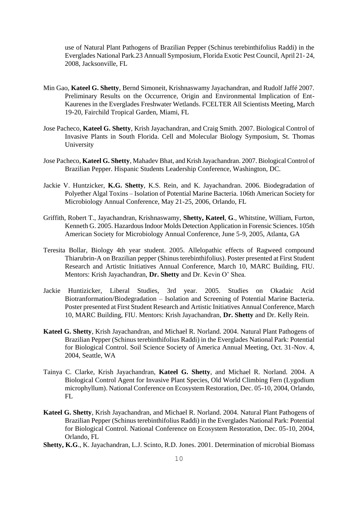use of Natural Plant Pathogens of Brazilian Pepper (Schinus terebinthifolius Raddi) in the Everglades National Park.23 Annuall Symposium, Florida Exotic Pest Council, April 21- 24, 2008, Jacksonville, FL

- Min Gao, **Kateel G. Shetty**, Bernd Simoneit, Krishnaswamy Jayachandran, and Rudolf Jaffé 2007. Preliminary Results on the Occurrence, Origin and Environmental Implication of Ent-Kaurenes in the Everglades Freshwater Wetlands. FCELTER All Scientists Meeting, March 19-20, Fairchild Tropical Garden, Miami, FL
- Jose Pacheco, **Kateel G. Shetty**, Krish Jayachandran, and Craig Smith. 2007. Biological Control of Invasive Plants in South Florida. Cell and Molecular Biology Symposium, St. Thomas University
- Jose Pacheco, **Kateel G. Shetty**, Mahadev Bhat, and Krish Jayachandran. 2007. Biological Control of Brazilian Pepper. Hispanic Students Leadership Conference, Washington, DC.
- Jackie V. Huntzicker, **K.G. Shetty**, K.S. Rein, and K. Jayachandran. 2006. Biodegradation of Polyether Algal Toxins – Isolation of Potential Marine Bacteria. 106th American Society for Microbiology Annual Conference, May 21-25, 2006, Orlando, FL
- Griffith, Robert T., Jayachandran, Krishnaswamy, **Shetty, Kateel**, **G**., Whitstine, William, Furton, Kenneth G. 2005. Hazardous Indoor Molds Detection Application in Forensic Sciences. 105th American Society for Microbiology Annual Conference, June 5-9, 2005, Atlanta, GA
- Teresita Bollar, Biology 4th year student. 2005. Allelopathic effects of Ragweed compound Thiarubrin-A on Brazilian pepper (Shinus terebinthifolius). Poster presented at First Student Research and Artistic Initiatives Annual Conference, March 10, MARC Building, FIU. Mentors: Krish Jayachandran, **Dr. Shetty** and Dr. Kevin O' Shea.
- Jackie Huntizicker, Liberal Studies, 3rd year. 2005. Studies on Okadaic Acid Biotranformation/Biodegradation – Isolation and Screening of Potential Marine Bacteria. Poster presented at First Student Research and Artistic Initiatives Annual Conference, March 10, MARC Building, FIU. Mentors: Krish Jayachandran, **Dr. Shetty** and Dr. Kelly Rein.
- **Kateel G. Shetty**, Krish Jayachandran, and Michael R. Norland. 2004. Natural Plant Pathogens of Brazilian Pepper (Schinus terebinthifolius Raddi) in the Everglades National Park: Potential for Biological Control. Soil Science Society of America Annual Meeting, Oct. 31-Nov. 4, 2004, Seattle, WA
- Tainya C. Clarke, Krish Jayachandran, **Kateel G. Shetty**, and Michael R. Norland. 2004. A Biological Control Agent for Invasive Plant Species, Old World Climbing Fern (Lygodium microphyllum). National Conference on Ecosystem Restoration, Dec. 05-10, 2004, Orlando, FL
- **Kateel G. Shetty**, Krish Jayachandran, and Michael R. Norland. 2004. Natural Plant Pathogens of Brazilian Pepper (Schinus terebinthifolius Raddi) in the Everglades National Park: Potential for Biological Control. National Conference on Ecosystem Restoration, Dec. 05-10, 2004, Orlando, FL
- **Shetty, K.G**., K. Jayachandran, L.J. Scinto, R.D. Jones. 2001. Determination of microbial Biomass